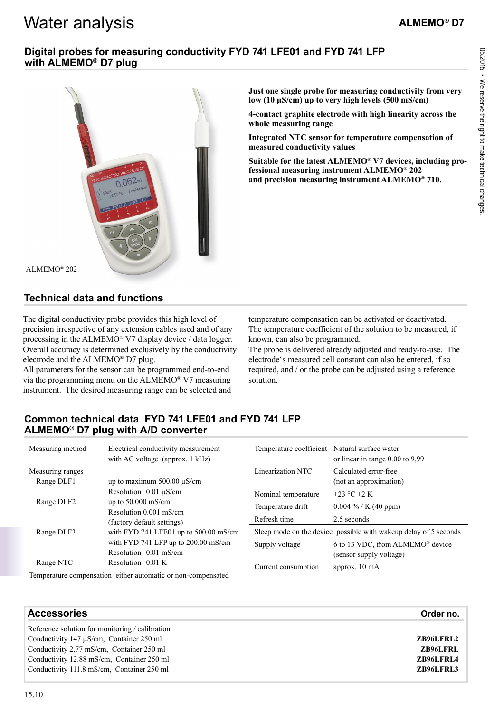# Water analysis

## **Digital probes for measuring conductivity FYD 741 LFE01 and FYD 741 LFP with ALMEMO® D7 plug**



**Just one single probe for measuring conductivity from very low (10 µS/cm) up to very high levels (500 mS/cm)** 

**4-contact graphite electrode with high linearity across the whole measuring range** 

**Integrated NTC sensor for temperature compensation of measured conductivity values** 

**Suitable for the latest ALMEMO® V7 devices, including professional measuring instrument ALMEMO® 202 and precision measuring instrument ALMEMO® 710.**

#### ALMEMO® 202

# **Technical data and functions**

The digital conductivity probe provides this high level of precision irrespective of any extension cables used and of any processing in the ALMEMO® V7 display device / data logger. Overall accuracy is determined exclusively by the conductivity electrode and the ALMEMO® D7 plug.

All parameters for the sensor can be programmed end-to-end via the programming menu on the ALMEMO® V7 measuring instrument. The desired measuring range can be selected and temperature compensation can be activated or deactivated. The temperature coefficient of the solution to be measured, if known, can also be programmed.

The probe is delivered already adjusted and ready-to-use. The electrode's measured cell constant can also be entered, if so required, and / or the probe can be adjusted using a reference solution.

# **Common technical data FYD 741 LFE01 and FYD 741 LFP ALMEMO® D7 plug with A/D converter**

| Measuring method                     | Electrical conductivity measurement<br>with AC voltage (approx. $1$ kHz)                                                                                                                                                                       | Temperature coefficient Natural surface water                    | or linear in range $0.00$ to $9.99$                                     |
|--------------------------------------|------------------------------------------------------------------------------------------------------------------------------------------------------------------------------------------------------------------------------------------------|------------------------------------------------------------------|-------------------------------------------------------------------------|
| Measuring ranges<br>Range DLF1       | up to maximum $500.00 \mu S/cm$                                                                                                                                                                                                                | Linearization NTC                                                | Calculated error-free<br>(not an approximation)                         |
| Range DLF <sub>2</sub><br>Range DLF3 | Resolution $0.01 \mu S/cm$<br>up to $50.000$ mS/cm<br>Resolution $0.001$ mS/cm<br>(factory default settings)<br>with FYD 741 LFE01 up to $500.00$ mS/cm<br>with FYD 741 LFP up to 200.00 mS/cm<br>Resolution 0.01 mS/cm<br>Resolution $0.01 K$ | Nominal temperature                                              | +23 °C $\pm$ 2 K                                                        |
|                                      |                                                                                                                                                                                                                                                | Temperature drift                                                | $0.004\%$ / K (40 ppm)                                                  |
|                                      |                                                                                                                                                                                                                                                | Refresh time                                                     | 2.5 seconds                                                             |
|                                      |                                                                                                                                                                                                                                                | Sleep mode on the device possible with wakeup delay of 5 seconds |                                                                         |
|                                      |                                                                                                                                                                                                                                                | Supply voltage                                                   | 6 to 13 VDC, from ALMEMO <sup>®</sup> device<br>(sensor supply voltage) |
| Range NTC                            |                                                                                                                                                                                                                                                | Current consumption                                              | approx. 10 mA                                                           |
|                                      | Temperature compensation either automatic or non-compensated                                                                                                                                                                                   |                                                                  |                                                                         |

| <b>Accessories</b>                              | Order no. |
|-------------------------------------------------|-----------|
| Reference solution for monitoring / calibration |           |
| Conductivity $147 \mu S/cm$ , Container 250 ml  | ZB96LFRL2 |
| Conductivity 2.77 mS/cm, Container 250 ml       | ZB96LFRL  |
| Conductivity 12.88 mS/cm, Container 250 ml      | ZB96LFRL4 |
| Conductivity 111.8 mS/cm, Container 250 ml      | ZB96LFRL3 |